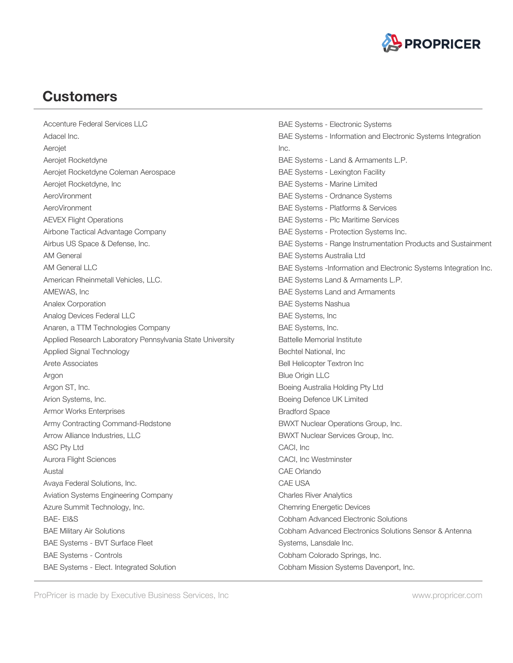

Accenture Federal Services LLC Adacel Inc. Aerojet Aerojet Rocketdyne Aerojet Rocketdyne Coleman Aerospace Aerojet Rocketdyne, Inc AeroVironment AeroVironment AEVEX Flight Operations Airbone Tactical Advantage Company Airbus US Space & Defense, Inc. AM General AM General LLC American Rheinmetall Vehicles, LLC. AMEWAS, Inc Analex Corporation Analog Devices Federal LLC Anaren, a TTM Technologies Company Applied Research Laboratory Pennsylvania State University Applied Signal Technology Arete Associates Argon Argon ST, Inc. Arion Systems, Inc. Armor Works Enterprises Army Contracting Command-Redstone Arrow Alliance Industries, LLC ASC Pty Ltd Aurora Flight Sciences Austal Avaya Federal Solutions, Inc. Aviation Systems Engineering Company Azure Summit Technology, Inc. BAE- EI&S BAE Military Air Solutions BAE Systems - BVT Surface Fleet BAE Systems - Controls BAE Systems - Elect. Integrated Solution

BAE Systems - Electronic Systems BAE Systems - Information and Electronic Systems Integration Inc. BAE Systems - Land & Armaments L.P. BAE Systems - Lexington Facility BAE Systems - Marine Limited BAE Systems - Ordnance Systems BAE Systems - Platforms & Services BAE Systems - Plc Maritime Services BAE Systems - Protection Systems Inc. BAE Systems - Range Instrumentation Products and Sustainment BAE Systems Australia Ltd BAE Systems -Information and Electronic Systems Integration Inc. BAE Systems Land & Armaments L.P. BAE Systems Land and Armaments BAE Systems Nashua BAE Systems, Inc BAE Systems, Inc. Battelle Memorial Institute Bechtel National, Inc Bell Helicopter Textron Inc Blue Origin LLC Boeing Australia Holding Pty Ltd Boeing Defence UK Limited Bradford Space BWXT Nuclear Operations Group, Inc. BWXT Nuclear Services Group, Inc. CACI, Inc CACI, Inc Westminster CAE Orlando CAE USA Charles River Analytics Chemring Energetic Devices Cobham Advanced Electronic Solutions Cobham Advanced Electronics Solutions Sensor & Antenna Systems, Lansdale Inc. Cobham Colorado Springs, Inc. Cobham Mission Systems Davenport, Inc.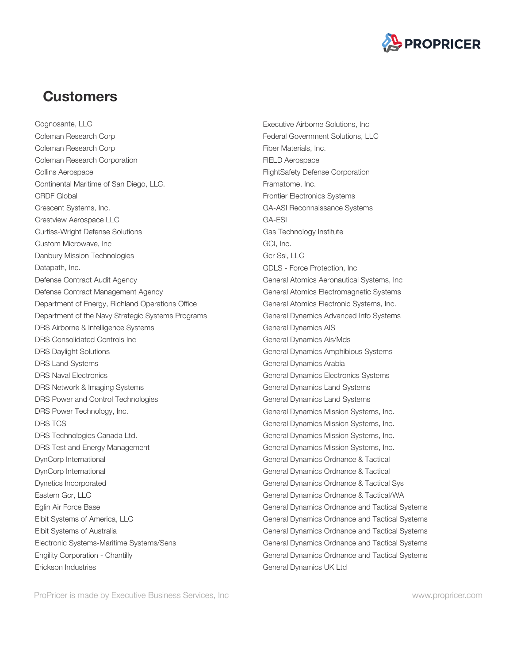

Cognosante, LLC Coleman Research Corp Coleman Research Corp Coleman Research Corporation Collins Aerospace Continental Maritime of San Diego, LLC. CRDF Global Crescent Systems, Inc. Crestview Aerospace LLC Curtiss-Wright Defense Solutions Custom Microwave, Inc Danbury Mission Technologies Datapath, Inc. Defense Contract Audit Agency Defense Contract Management Agency Department of Energy, Richland Operations Office Department of the Navy Strategic Systems Programs DRS Airborne & Intelligence Systems DRS Consolidated Controls Inc DRS Daylight Solutions DRS Land Systems DRS Naval Electronics DRS Network & Imaging Systems DRS Power and Control Technologies DRS Power Technology, Inc. DRS TCS DRS Technologies Canada Ltd. DRS Test and Energy Management DynCorp International DynCorp International Dynetics Incorporated Eastern Gcr, LLC Eglin Air Force Base Elbit Systems of America, LLC Elbit Systems of Australia Electronic Systems-Maritime Systems/Sens Engility Corporation - Chantilly Erickson Industries

Executive Airborne Solutions, Inc Federal Government Solutions, LLC Fiber Materials, Inc. FIELD Aerospace FlightSafety Defense Corporation Framatome, Inc. Frontier Electronics Systems GA-ASI Reconnaissance Systems GA-ESI Gas Technology Institute GCI, Inc. Gcr Ssi, LLC GDLS - Force Protection, Inc General Atomics Aeronautical Systems, Inc General Atomics Electromagnetic Systems General Atomics Electronic Systems, Inc. General Dynamics Advanced Info Systems General Dynamics AIS General Dynamics Ais/Mds General Dynamics Amphibious Systems General Dynamics Arabia General Dynamics Electronics Systems General Dynamics Land Systems General Dynamics Land Systems General Dynamics Mission Systems, Inc. General Dynamics Mission Systems, Inc. General Dynamics Mission Systems, Inc. General Dynamics Mission Systems, Inc. General Dynamics Ordnance & Tactical General Dynamics Ordnance & Tactical General Dynamics Ordnance & Tactical Sys General Dynamics Ordnance & Tactical/WA General Dynamics Ordnance and Tactical Systems General Dynamics Ordnance and Tactical Systems General Dynamics Ordnance and Tactical Systems General Dynamics Ordnance and Tactical Systems General Dynamics Ordnance and Tactical Systems General Dynamics UK Ltd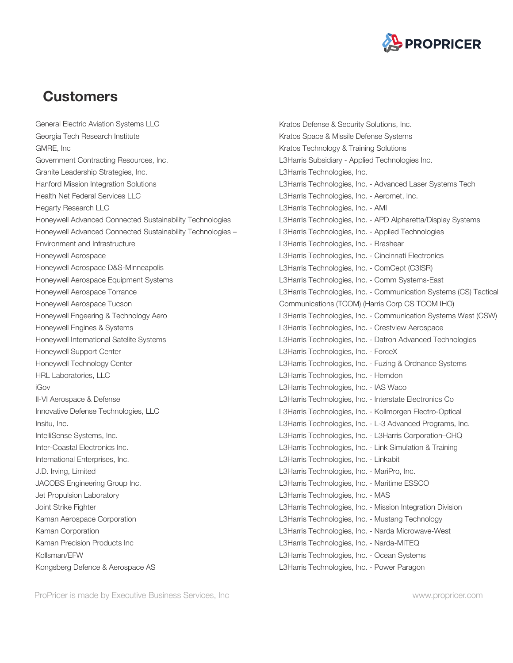

General Electric Aviation Systems LLC Georgia Tech Research Institute GMRE, Inc Government Contracting Resources, Inc. Granite Leadership Strategies, Inc. Hanford Mission Integration Solutions Health Net Federal Services LLC Hegarty Research LLC Honeywell Advanced Connected Sustainability Technologies Honeywell Advanced Connected Sustainability Technologies – Environment and Infrastructure Honeywell Aerospace Honeywell Aerospace D&S-Minneapolis Honeywell Aerospace Equipment Systems Honeywell Aerospace Torrance Honeywell Aerospace Tucson Honeywell Engeering & Technology Aero Honeywell Engines & Systems Honeywell International Satelite Systems Honeywell Support Center Honeywell Technology Center HRL Laboratories, LLC iGov II-VI Aerospace & Defense Innovative Defense Technologies, LLC Insitu, Inc. IntelliSense Systems, Inc. Inter-Coastal Electronics Inc. International Enterprises, Inc. J.D. Irving, Limited JACOBS Engineering Group Inc. Jet Propulsion Laboratory Joint Strike Fighter Kaman Aerospace Corporation Kaman Corporation Kaman Precision Products Inc Kollsman/EFW Kongsberg Defence & Aerospace AS

Kratos Defense & Security Solutions, Inc. Kratos Space & Missile Defense Systems Kratos Technology & Training Solutions L3Harris Subsidiary - Applied Technologies Inc. L3Harris Technologies, Inc. L3Harris Technologies, Inc. - Advanced Laser Systems Tech L3Harris Technologies, Inc. - Aeromet, Inc. L3Harris Technologies, Inc. - AMI L3Harris Technologies, Inc. - APD Alpharetta/Display Systems L3Harris Technologies, Inc. - Applied Technologies L3Harris Technologies, Inc. - Brashear L3Harris Technologies, Inc. - Cincinnati Electronics L3Harris Technologies, Inc. - ComCept (C3ISR) L3Harris Technologies, Inc. - Comm Systems-East L3Harris Technologies, Inc. - Communication Systems (CS) Tactical Communications (TCOM) (Harris Corp CS TCOM IHO) L3Harris Technologies, Inc. - Communication Systems West (CSW) L3Harris Technologies, Inc. - Crestview Aerospace L3Harris Technologies, Inc. - Datron Advanced Technologies L3Harris Technologies, Inc. - ForceX L3Harris Technologies, Inc. - Fuzing & Ordnance Systems L3Harris Technologies, Inc. - Herndon L3Harris Technologies, Inc. - IAS Waco L3Harris Technologies, Inc. - Interstate Electronics Co L3Harris Technologies, Inc. - Kollmorgen Electro-Optical L3Harris Technologies, Inc. - L-3 Advanced Programs, Inc. L3Harris Technologies, Inc. - L3Harris Corporation–CHQ L3Harris Technologies, Inc. - Link Simulation & Training L3Harris Technologies, Inc. - Linkabit L3Harris Technologies, Inc. - MariPro, Inc. L3Harris Technologies, Inc. - Maritime ESSCO L3Harris Technologies, Inc. - MAS L3Harris Technologies, Inc. - Mission Integration Division L3Harris Technologies, Inc. - Mustang Technology L3Harris Technologies, Inc. - Narda Microwave-West L3Harris Technologies, Inc. - Narda-MITEQ L3Harris Technologies, Inc. - Ocean Systems L3Harris Technologies, Inc. - Power Paragon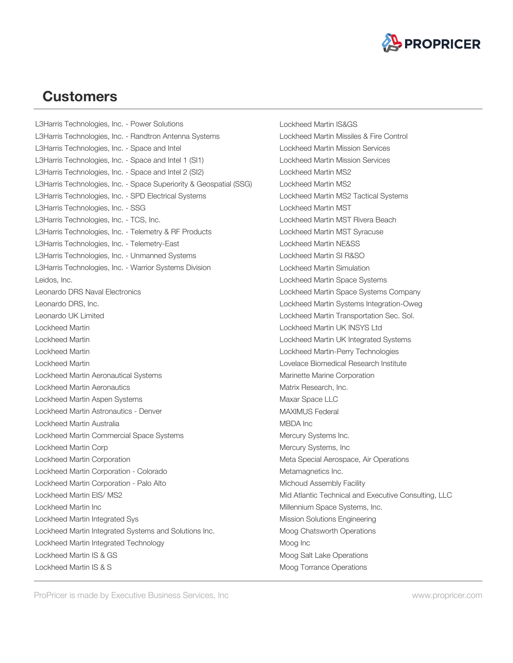

L3Harris Technologies, Inc. - Power Solutions L3Harris Technologies, Inc. - Randtron Antenna Systems L3Harris Technologies, Inc. - Space and Intel L3Harris Technologies, Inc. - Space and Intel 1 (SI1) L3Harris Technologies, Inc. - Space and Intel 2 (SI2) L3Harris Technologies, Inc. - Space Superiority & Geospatial (SSG) L3Harris Technologies, Inc. - SPD Electrical Systems L3Harris Technologies, Inc. - SSG L3Harris Technologies, Inc. - TCS, Inc. L3Harris Technologies, Inc. - Telemetry & RF Products L3Harris Technologies, Inc. - Telemetry-East L3Harris Technologies, Inc. - Unmanned Systems L3Harris Technologies, Inc. - Warrior Systems Division Leidos, Inc. Leonardo DRS Naval Electronics Leonardo DRS, Inc. Leonardo UK Limited Lockheed Martin Lockheed Martin Lockheed Martin Lockheed Martin Lockheed Martin Aeronautical Systems Lockheed Martin Aeronautics Lockheed Martin Aspen Systems Lockheed Martin Astronautics - Denver Lockheed Martin Australia Lockheed Martin Commercial Space Systems Lockheed Martin Corp Lockheed Martin Corporation Lockheed Martin Corporation - Colorado Lockheed Martin Corporation - Palo Alto Lockheed Martin EIS/ MS2 Lockheed Martin Inc Lockheed Martin Integrated Sys Lockheed Martin Integrated Systems and Solutions Inc. Lockheed Martin Integrated Technology Lockheed Martin IS & GS Lockheed Martin IS & S

Lockheed Martin IS&GS Lockheed Martin Missiles & Fire Control Lockheed Martin Mission Services Lockheed Martin Mission Services Lockheed Martin MS2 Lockheed Martin MS2 Lockheed Martin MS2 Tactical Systems Lockheed Martin MST Lockheed Martin MST Rivera Beach Lockheed Martin MST Syracuse Lockheed Martin NE&SS Lockheed Martin SI R&SO Lockheed Martin Simulation Lockheed Martin Space Systems Lockheed Martin Space Systems Company Lockheed Martin Systems Integration-Oweg Lockheed Martin Transportation Sec. Sol. Lockheed Martin UK INSYS Ltd Lockheed Martin UK Integrated Systems Lockheed Martin-Perry Technologies Lovelace Biomedical Research Institute Marinette Marine Corporation Matrix Research, Inc. Maxar Space LLC MAXIMUS Federal MBDA Inc Mercury Systems Inc. Mercury Systems, Inc Meta Special Aerospace, Air Operations Metamagnetics Inc. Michoud Assembly Facility Mid Atlantic Technical and Executive Consulting, LLC Millennium Space Systems, Inc. Mission Solutions Engineering Moog Chatsworth Operations Moog Inc Moog Salt Lake Operations Moog Torrance Operations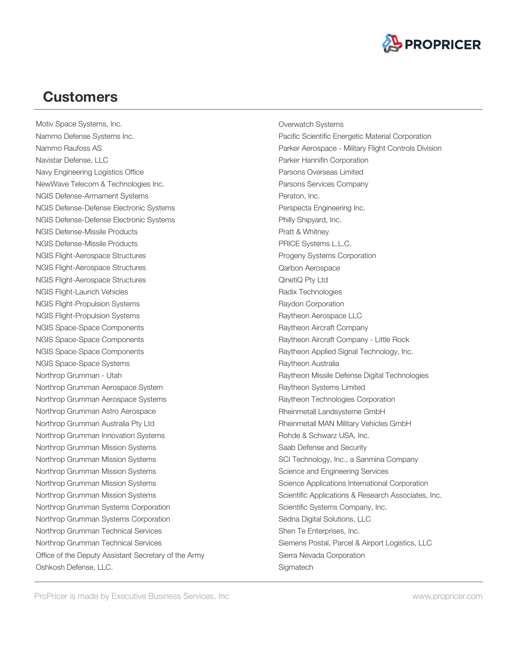

Motiv Space Systems, Inc. Nammo Defense Systems Inc. Nammo Raufoss AS Navistar Defense, LLC Navy Engineering Logistics Office NewWave Telecom & Technologies Inc. NGIS Defense-Armament Systems NGIS Defense-Defense Electronic Systems NGIS Defense-Defense Electronic Systems NGIS Defense-Missile Products NGIS Defense-Missile Products NGIS Flight-Aerospace Structures NGIS Flight-Aerospace Structures NGIS Flight-Aerospace Structures NGIS Flight-Launch Vehicles NGIS Flight-Propulsion Systems NGIS Flight-Propulsion Systems NGIS Space-Space Components NGIS Space-Space Components NGIS Space-Space Components NGIS Space-Space Systems Northrop Grumman - Utah Northrop Grumman Aerospace System Northrop Grumman Aerospace Systems Northrop Grumman Astro Aerospace Northrop Grumman Australia Pty Ltd Northrop Grumman Innovation Systems Northrop Grumman Mission Systems Northrop Grumman Mission Systems Northrop Grumman Mission Systems Northrop Grumman Mission Systems Northrop Grumman Mission Systems Northrop Grumman Systems Corporation Northrop Grumman Systems Corporation Northrop Grumman Technical Services Northrop Grumman Technical Services Office of the Deputy Assistant Secretary of the Army Oshkosh Defense, LLC.

Overwatch Systems Pacific Scientific Energetic Material Corporation Parker Aerospace - Military Flight Controls Division Parker Hannifin Corporation Parsons Overseas Limited Parsons Services Company Peraton, Inc. Perspecta Engineering Inc. Philly Shipyard, Inc. Pratt & Whitney PRICE Systems L.L.C. Progeny Systems Corporation Qarbon Aerospace QinetiQ Pty Ltd Radix Technologies Raydon Corporation Raytheon Aerospace LLC Raytheon Aircraft Company Raytheon Aircraft Company - Little Rock Raytheon Applied Signal Technology, Inc. Raytheon Australia Raytheon Missile Defense Digital Technologies Raytheon Systems Limited Raytheon Technologies Corporation Rheinmetall Landsysteme GmbH Rheinmetall MAN Military Vehicles GmbH Rohde & Schwarz USA, Inc. Saab Defense and Security SCI Technology, Inc., a Sanmina Company Science and Engineering Services Science Applications International Corporation Scientific Applications & Research Associates, Inc. Scientific Systems Company, Inc. Sedna Digital Solutions, LLC Shen Te Enterprises, Inc. Siemens Postal, Parcel & Airport Logistics, LLC Sierra Nevada Corporation **Sigmatech**